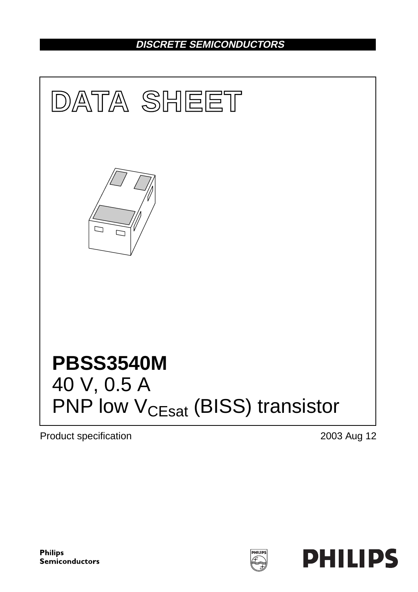## **DISCRETE SEMICONDUCTORS**



Product specification 2003 Aug 12



**HILIPS**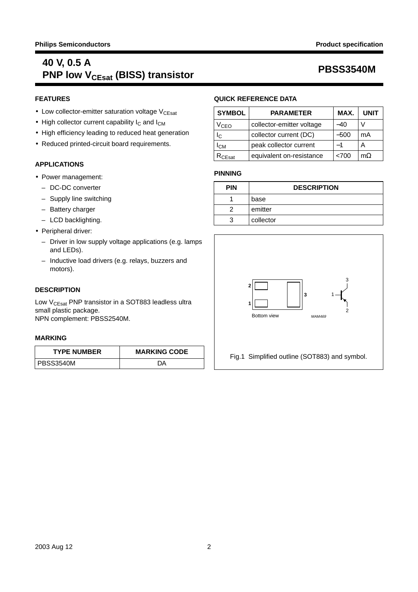## **40 V, 0.5 A PRSS3540M**<br>PNP low V<sub>CEsat</sub> (BISS) transistor

## **FEATURES**

- $\bullet$  Low collector-emitter saturation voltage  $V_{CEsat}$
- High collector current capability  $I_C$  and  $I_{CM}$
- High efficiency leading to reduced heat generation
- Reduced printed-circuit board requirements.

## **APPLICATIONS**

- Power management:
	- DC-DC converter
	- Supply line switching
	- Battery charger
	- LCD backlighting.
- Peripheral driver:
	- Driver in low supply voltage applications (e.g. lamps and LEDs).
	- Inductive load drivers (e.g. relays, buzzers and motors).

## **DESCRIPTION**

Low V<sub>CEsat</sub> PNP transistor in a SOT883 leadless ultra small plastic package. NPN complement: PBSS2540M.

## **MARKING**

| <b>TYPE NUMBER</b> | <b>MARKING CODE</b> |  |
|--------------------|---------------------|--|
| I PBSS3540M        | DΔ                  |  |

## **QUICK REFERENCE DATA**

| <b>SYMBOL</b>                        | <b>PARAMETER</b>         | MAX.   | <b>UNIT</b> |
|--------------------------------------|--------------------------|--------|-------------|
| $\rm V_{CEO}$                        | -40                      |        |             |
| Iс                                   | collector current (DC)   | $-500$ | mA          |
| peak collector current<br><b>ICM</b> |                          |        | А           |
| CEsat                                | equivalent on-resistance | < 700  | $m\Omega$   |

## **PINNING**

| <b>PIN</b> | <b>DESCRIPTION</b> |
|------------|--------------------|
|            | base               |
| っ          | emitter            |
| વ          | collector          |



Fig.1 Simplified outline (SOT883) and symbol.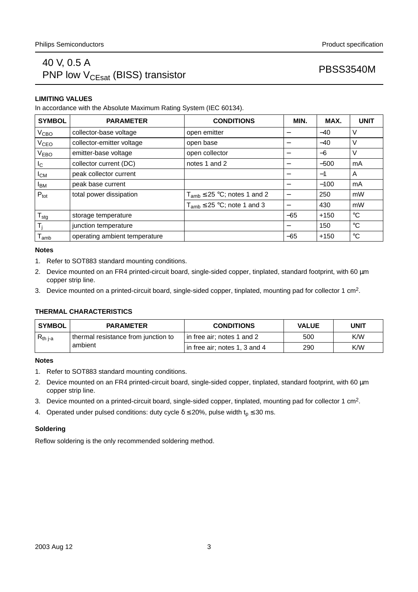## 40 V, 0.5 A PRSS3540M<br>PNP low  $V_{CEsat}$  (BISS) transistor

## **LIMITING VALUES**

In accordance with the Absolute Maximum Rating System (IEC 60134).

| <b>SYMBOL</b>      | <b>PARAMETER</b>              | <b>CONDITIONS</b>                   | MIN.  | MAX.   | <b>UNIT</b> |
|--------------------|-------------------------------|-------------------------------------|-------|--------|-------------|
| V <sub>CBO</sub>   | collector-base voltage        | open emitter                        |       | $-40$  | V           |
| $V_{\texttt{CEO}}$ | collector-emitter voltage     | open base                           |       | $-40$  | V           |
| V <sub>EBO</sub>   | emitter-base voltage          | open collector                      | –     | $-6$   | V           |
| $I_{\rm C}$        | collector current (DC)        | notes 1 and 2                       |       | $-500$ | mA          |
| $I_{CM}$           | peak collector current        |                                     | -     | $-1$   | A           |
| <b>IBM</b>         | peak base current             |                                     |       | $-100$ | mA          |
| $P_{\text{tot}}$   | total power dissipation       | $T_{amb} \leq 25$ °C; notes 1 and 2 |       | 250    | mW          |
|                    |                               | $T_{amb} \leq 25$ °C; note 1 and 3  |       | 430    | mW          |
| $T_{\text{stg}}$   | storage temperature           |                                     | $-65$ | $+150$ | $^{\circ}C$ |
| $T_i$              | junction temperature          |                                     |       | 150    | $^{\circ}C$ |
| $T_{amb}$          | operating ambient temperature |                                     | $-65$ | $+150$ | $^{\circ}C$ |

### **Notes**

- 1. Refer to SOT883 standard mounting conditions.
- 2. Device mounted on an FR4 printed-circuit board, single-sided copper, tinplated, standard footprint, with 60 µm copper strip line.
- 3. Device mounted on a printed-circuit board, single-sided copper, tinplated, mounting pad for collector 1 cm2.

## **THERMAL CHARACTERISTICS**

| <b>SYMBOL</b> | <b>PARAMETER</b>                    | <b>CONDITIONS</b>             | <b>VALUE</b> | UNIT |
|---------------|-------------------------------------|-------------------------------|--------------|------|
| $R_{th i-a}$  | thermal resistance from junction to | in free air; notes 1 and 2    | 500          | K/W  |
|               | ambient                             | in free air; notes 1, 3 and 4 | 290          | K/W  |

## **Notes**

- 1. Refer to SOT883 standard mounting conditions.
- 2. Device mounted on an FR4 printed-circuit board, single-sided copper, tinplated, standard footprint, with 60 µm copper strip line.
- 3. Device mounted on a printed-circuit board, single-sided copper, tinplated, mounting pad for collector 1 cm2.
- 4. Operated under pulsed conditions: duty cycle  $\delta \le 20\%$ , pulse width  $t_p \le 30$  ms.

## **Soldering**

Reflow soldering is the only recommended soldering method.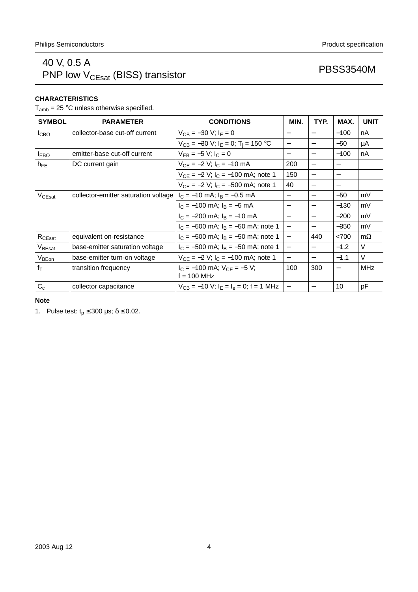## 40 V, 0.5 A PRSS3540M<br>PNP low V<sub>CEsat</sub> (BISS) transistor PRSS3540M

## **CHARACTERISTICS**

 $T_{amb}$  = 25 °C unless otherwise specified.

| <b>SYMBOL</b>      | <b>PARAMETER</b>                     | <b>CONDITIONS</b>                                     | MIN.                     | TYP.                     | MAX.   | <b>UNIT</b> |
|--------------------|--------------------------------------|-------------------------------------------------------|--------------------------|--------------------------|--------|-------------|
| ICBO               | collector-base cut-off current       | $V_{CB} = -30 V; I_F = 0$                             | $\overline{\phantom{m}}$ |                          | $-100$ | nA          |
|                    |                                      | $V_{CB} = -30$ V; $I_E = 0$ ; T <sub>i</sub> = 150 °C | $\qquad \qquad -$        |                          | $-50$  | μA          |
| <b>IEBO</b>        | emitter-base cut-off current         | $V_{FB} = -5 V$ ; $I_C = 0$                           | $\qquad \qquad -$        |                          | $-100$ | nA          |
| $h_{FE}$           | DC current gain                      | $V_{CF} = -2 V$ ; $I_C = -10 mA$                      | 200                      |                          |        |             |
|                    |                                      | $V_{CF} = -2 V$ ; $I_C = -100$ mA; note 1             | 150                      |                          |        |             |
|                    |                                      | $V_{CE} = -2 V$ ; $I_C = -500$ mA; note 1             | 40                       |                          |        |             |
| V <sub>CEsat</sub> | collector-emitter saturation voltage | $I_C = -10$ mA; $I_B = -0.5$ mA                       | $\overline{\phantom{m}}$ |                          | $-50$  | mV          |
|                    |                                      | $I_C = -100$ mA; $I_B = -5$ mA                        | $\overline{\phantom{m}}$ |                          | $-130$ | mV          |
|                    |                                      | $I_C = -200$ mA; $I_B = -10$ mA                       | $\overline{\phantom{m}}$ |                          | $-200$ | mV          |
|                    |                                      | $I_C = -500$ mA; $I_B = -50$ mA; note 1               | $\qquad \qquad -$        | $\overline{\phantom{0}}$ | $-350$ | mV          |
| $R_{\text{CEsat}}$ | equivalent on-resistance             | $I_C = -500$ mA; $I_B = -50$ mA; note 1               | $\overline{\phantom{0}}$ | 440                      | < 700  | $m\Omega$   |
| $V_{\text{BEsat}}$ | base-emitter saturation voltage      | $I_C = -500$ mA; $I_B = -50$ mA; note 1               | $\qquad \qquad -$        |                          | $-1.2$ | $\vee$      |
| V <sub>BEon</sub>  | base-emitter turn-on voltage         | $V_{CF} = -2 V$ ; $I_C = -100$ mA; note 1             | $\overline{\phantom{m}}$ |                          | $-1.1$ | $\vee$      |
| $f_T$              | transition frequency                 | $I_C = -100$ mA; $V_{CF} = -5$ V;<br>$f = 100$ MHz    | 100                      | 300                      |        | MHz         |
| $C_c$              | collector capacitance                | $V_{CB} = -10 V$ ; $I_F = I_e = 0$ ; f = 1 MHz        | $\qquad \qquad -$        |                          | 10     | pF          |

## **Note**

1. Pulse test:  $t_p \le 300 \text{ }\mu\text{s}; \delta \le 0.02$ .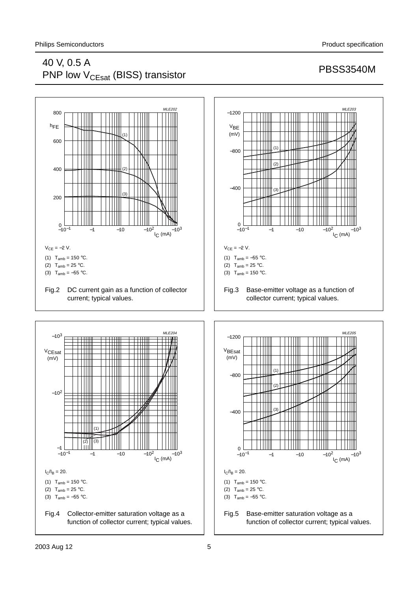## 40 V, 0.5 A PRSS3540M<br>PNP low  $V_{CEsat}$  (BISS) transistor



## 2003 Aug 12 5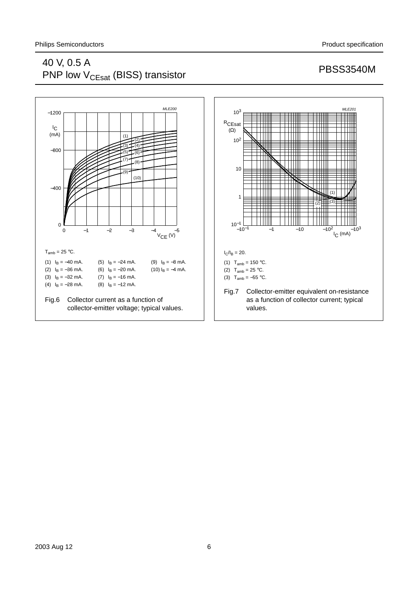## 40 V, 0.5 A PRESS3540M<br>PNP low V<sub>CEsat</sub> (BISS) transistor PRSS3540M



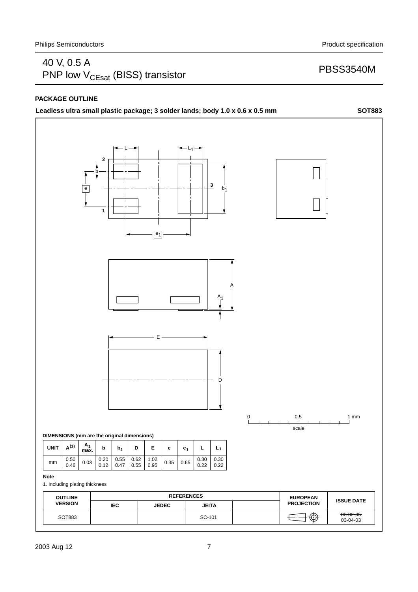## 40 V, 0.5 A PRSS3540M<br>PNP low  $V_{CEsat}$  (BISS) transistor

## **PACKAGE OUTLINE**

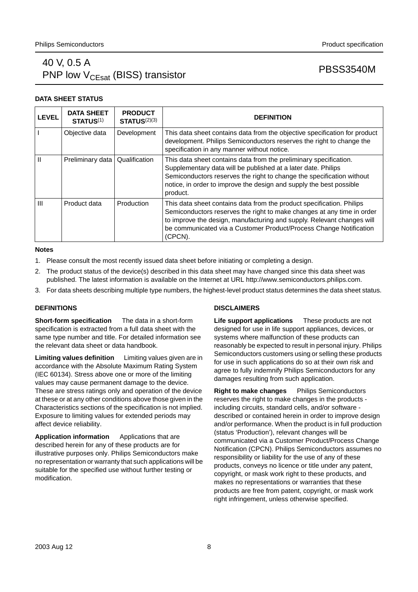## 40 V, 0.5 A PRSS3540M<br>PNP low V<sub>CEsat</sub> (BISS) transistor

## **DATA SHEET STATUS**

| <b>LEVEL</b> | <b>DATA SHEET</b><br><b>STATUS(1)</b> | <b>PRODUCT</b><br>STATUS <sup>(2)(3)</sup> | <b>DEFINITION</b>                                                                                                                                                                                                                                                                                          |
|--------------|---------------------------------------|--------------------------------------------|------------------------------------------------------------------------------------------------------------------------------------------------------------------------------------------------------------------------------------------------------------------------------------------------------------|
|              | Objective data                        | Development                                | This data sheet contains data from the objective specification for product<br>development. Philips Semiconductors reserves the right to change the<br>specification in any manner without notice.                                                                                                          |
|              | Preliminary data                      | Qualification                              | This data sheet contains data from the preliminary specification.<br>Supplementary data will be published at a later date. Philips<br>Semiconductors reserves the right to change the specification without<br>notice, in order to improve the design and supply the best possible<br>product.             |
| III          | Product data                          | Production                                 | This data sheet contains data from the product specification. Philips<br>Semiconductors reserves the right to make changes at any time in order<br>to improve the design, manufacturing and supply. Relevant changes will<br>be communicated via a Customer Product/Process Change Notification<br>(CPCN). |

### **Notes**

- 1. Please consult the most recently issued data sheet before initiating or completing a design.
- 2. The product status of the device(s) described in this data sheet may have changed since this data sheet was published. The latest information is available on the Internet at URL http://www.semiconductors.philips.com.
- 3. For data sheets describing multiple type numbers, the highest-level product status determines the data sheet status.

## **DEFINITIONS**

**Short-form specification** — The data in a short-form specification is extracted from a full data sheet with the same type number and title. For detailed information see the relevant data sheet or data handbook.

**Limiting values definition** - Limiting values given are in accordance with the Absolute Maximum Rating System (IEC 60134). Stress above one or more of the limiting values may cause permanent damage to the device. These are stress ratings only and operation of the device at these or at any other conditions above those given in the Characteristics sections of the specification is not implied. Exposure to limiting values for extended periods may affect device reliability.

Application information Applications that are described herein for any of these products are for illustrative purposes only. Philips Semiconductors make no representation or warranty that such applications will be suitable for the specified use without further testing or modification.

## **DISCLAIMERS**

**Life support applications** — These products are not designed for use in life support appliances, devices, or systems where malfunction of these products can reasonably be expected to result in personal injury. Philips Semiconductors customers using or selling these products for use in such applications do so at their own risk and agree to fully indemnify Philips Semiconductors for any damages resulting from such application.

**Right to make changes** - Philips Semiconductors reserves the right to make changes in the products including circuits, standard cells, and/or software described or contained herein in order to improve design and/or performance. When the product is in full production (status 'Production'), relevant changes will be communicated via a Customer Product/Process Change Notification (CPCN). Philips Semiconductors assumes no responsibility or liability for the use of any of these products, conveys no licence or title under any patent, copyright, or mask work right to these products, and makes no representations or warranties that these products are free from patent, copyright, or mask work right infringement, unless otherwise specified.